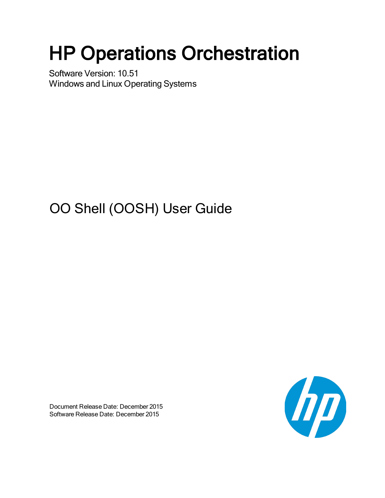# HP Operations Orchestration

Software Version: 10.51 Windows and Linux Operating Systems

# OO Shell (OOSH) User Guide

Document Release Date: December 2015 Software Release Date: December 2015

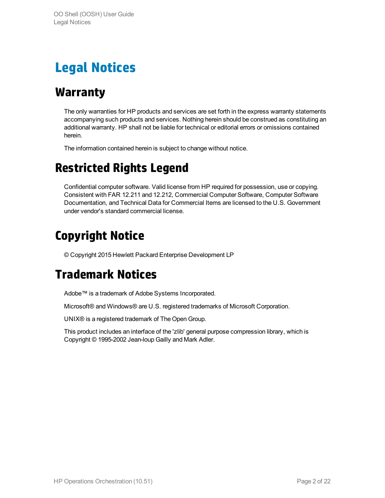# <span id="page-1-1"></span><span id="page-1-0"></span>**Legal Notices**

# **Warranty**

The only warranties for HP products and services are set forth in the express warranty statements accompanying such products and services. Nothing herein should be construed as constituting an additional warranty. HP shall not be liable for technical or editorial errors or omissions contained herein.

<span id="page-1-2"></span>The information contained herein is subject to change without notice.

# **Restricted Rights Legend**

Confidential computer software. Valid license from HP required for possession, use or copying. Consistent with FAR 12.211 and 12.212, Commercial Computer Software, Computer Software Documentation, and Technical Data for Commercial Items are licensed to the U.S. Government under vendor's standard commercial license.

# <span id="page-1-3"></span>**Copyright Notice**

<span id="page-1-4"></span>© Copyright 2015 Hewlett Packard Enterprise Development LP

# **Trademark Notices**

Adobe™ is a trademark of Adobe Systems Incorporated.

Microsoft® and Windows® are U.S. registered trademarks of Microsoft Corporation.

UNIX® is a registered trademark of The Open Group.

This product includes an interface of the 'zlib' general purpose compression library, which is Copyright © 1995-2002 Jean-loup Gailly and Mark Adler.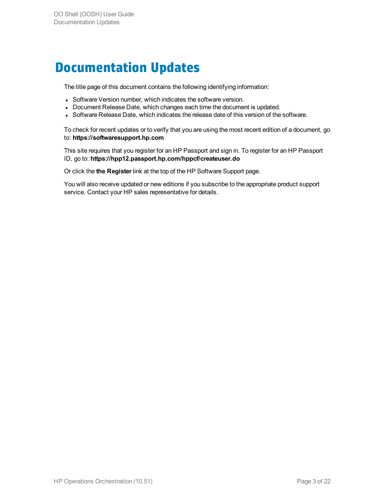# <span id="page-2-0"></span>**Documentation Updates**

The title page of this document contains the following identifying information:

- Software Version number, which indicates the software version.
- Document Release Date, which changes each time the document is updated.
- Software Release Date, which indicates the release date of this version of the software.

To check for recent updates or to verify that you are using the most recent edition of a document, go to: **https://softwaresupport.hp.com**

This site requires that you register for an HP Passport and sign in. To register for an HP Passport ID, go to: **https://hpp12.passport.hp.com/hppcf/createuser.do**

Or click the **the Register** link at the top of the HP Software Support page.

You will also receive updated or new editions if you subscribe to the appropriate product support service. Contact your HP sales representative for details.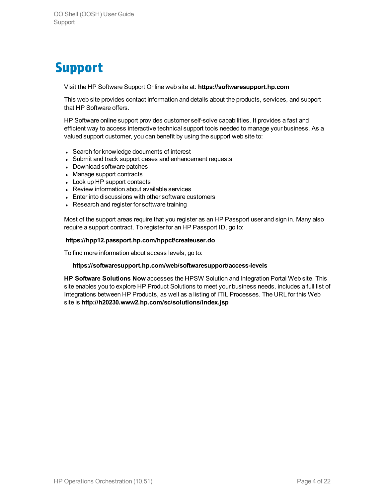# <span id="page-3-0"></span>**Support**

Visit the HP Software Support Online web site at: **https://softwaresupport.hp.com**

This web site provides contact information and details about the products, services, and support that HP Software offers.

HP Software online support provides customer self-solve capabilities. It provides a fast and efficient way to access interactive technical support tools needed to manage your business. As a valued support customer, you can benefit by using the support web site to:

- Search for knowledge documents of interest
- Submit and track support cases and enhancement requests
- Download software patches
- Manage support contracts
- Look up HP support contacts
- Review information about available services
- Enter into discussions with other software customers
- Research and register for software training

Most of the support areas require that you register as an HP Passport user and sign in. Many also require a support contract. To register for an HP Passport ID, go to:

#### **https://hpp12.passport.hp.com/hppcf/createuser.do**

To find more information about access levels, go to:

#### **https://softwaresupport.hp.com/web/softwaresupport/access-levels**

**HP Software Solutions Now** accesses the HPSW Solution and Integration Portal Web site. This site enables you to explore HP Product Solutions to meet your business needs, includes a full list of Integrations between HP Products, as well as a listing of ITIL Processes. The URL for this Web site is **http://h20230.www2.hp.com/sc/solutions/index.jsp**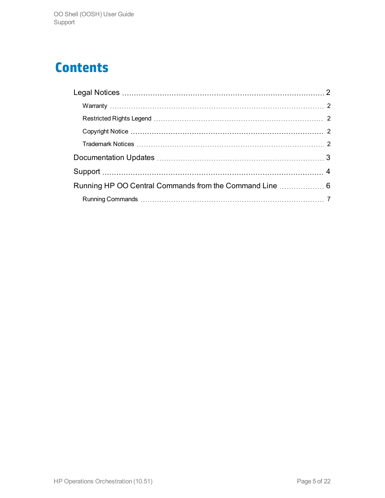# **Contents**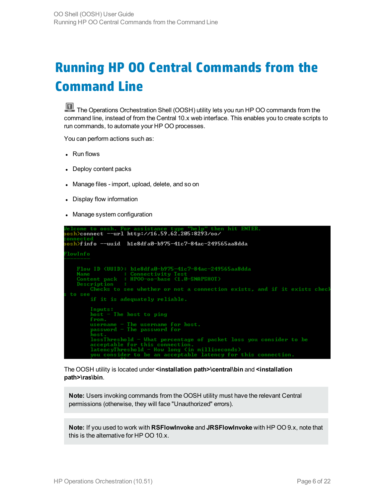# <span id="page-5-0"></span>**Running HP OO Central Commands from the Command Line**

The Operations Orchestration Shell (OOSH) utility lets you run HP OO commands from the command line, instead of from the Central 10.x web interface. This enables you to create scripts to run commands, to automate your HP OO processes.

You can perform actions such as:

- $\cdot$  Run flows
- Deploy content packs
- Manage files import, upload, delete, and so on
- Display flow information
- Manage system configuration



The OOSH utility is located under **<installation path>\central\bin** and **<installation path>\ras\bin**.

**Note:** Users invoking commands from the OOSH utility must have the relevant Central permissions (otherwise, they will face "Unauthorized" errors).

**Note:** If you used to work with **RSFlowInvoke** and **JRSFlowInvoke** with HP OO 9.x, note that this is the alternative for HP OO 10.x.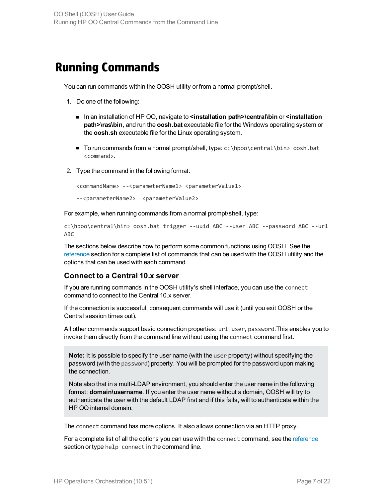# <span id="page-6-0"></span>**Running Commands**

You can run commands within the OOSH utility or from a normal prompt/shell.

- 1. Do one of the following:
	- In an installation of HP OO, navigate to **<installation path>\central\bin** or **<installation path>\ras\bin**, and run the **oosh.bat** executable file for the Windows operating system or the **oosh.sh** executable file for the Linux operating system.
	- To run commands from a normal prompt/shell, type:  $c:\hbox{open}$  central \bin> oosh.bat <command>.
- 2. Type the command in the following format:

```
<commandName> --<parameterName1> <parameterValue1>
--<parameterName2> <parameterValue2>
```
For example, when running commands from a normal prompt/shell, type:

```
c:\hpoo\central\bin> oosh.bat trigger --uuid ABC --user ABC --password ABC --url
ABC
```
The sections below describe how to perform some common functions using OOSH. See the [reference](#page-10-0) section for a complete list of commands that can be used with the OOSH utility and the options that can be used with each command.

## **Connect to a Central 10.x server**

If you are running commands in the OOSH utility's shell interface, you can use the connect command to connect to the Central 10.x server.

If the connection is successful, consequent commands will use it (until you exit OOSH or the Central session times out).

All other commands support basic connection properties: url, user, password.This enables you to invoke them directly from the command line without using the connect command first.

**Note:** It is possible to specify the user name (with the user property) without specifying the password (with the password) property. You will be prompted for the password upon making the connection.

Note also that in a multi-LDAP environment, you should enter the user name in the following format: **domain\username**. If you enter the user name without a domain, OOSH will try to authenticate the user with the default LDAP first and if this fails, will to authenticate within the HP OO internal domain.

The connect command has more options. It also allows connection via an HTTP proxy.

For a complete list of all the options you can use with the connect command, see the [reference](#page-10-0) section or type help connect in the command line.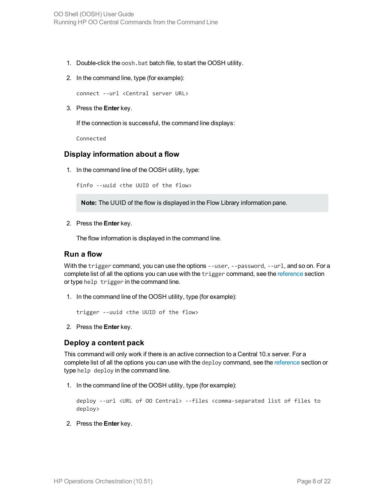- 1. Double-click the oosh.bat batch file, to start the OOSH utility.
- 2. In the command line, type (for example):

connect --url <Central server URL>

3. Press the **Enter** key.

If the connection is successful, the command line displays:

Connected

#### **Display information about a flow**

1. In the command line of the OOSH utility, type:

finfo --uuid <the UUID of the flow>

**Note:** The UUID of the flow is displayed in the Flow Library information pane.

2. Press the **Enter** key.

The flow information is displayed in the command line.

#### **Run a flow**

With the trigger command, you can use the options --user, --password, --url, and so on. For a complete list of all the options you can use with the trigger command, see the [reference](#page-10-0) section or type help trigger in the command line.

1. In the command line of the OOSH utility, type (for example):

```
trigger --uuid <the UUID of the flow>
```
2. Press the **Enter** key.

#### **Deploy a content pack**

This command will only work if there is an active connection to a Central 10.x server. For a complete list of all the options you can use with the deploy command, see the [reference](#page-10-0) section or type help deploy in the command line.

1. In the command line of the OOSH utility, type (for example):

```
deploy --url <URL of OO Central> --files <comma-separated list of files to
deploy>
```
2. Press the **Enter** key.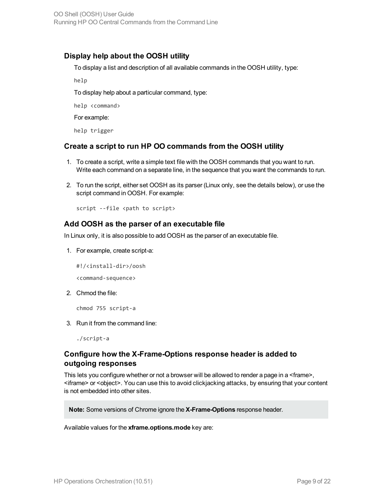## **Display help about the OOSH utility**

To display a list and description of all available commands in the OOSH utility, type:

help

To display help about a particular command, type:

help <command>

For example:

help trigger

### **Create a script to run HP OO commands from the OOSH utility**

- 1. To create a script, write a simple text file with the OOSH commands that you want to run. Write each command on a separate line, in the sequence that you want the commands to run.
- 2. To run the script, either set OOSH as its parser (Linux only, see the details below), or use the script command in OOSH. For example:

script --file <path to script>

### **Add OOSH as the parser of an executable file**

In Linux only, it is also possible to add OOSH as the parser of an executable file.

1. For example, create script-a:

#!/<install-dir>/oosh

<command-sequence>

2. Chmod the file:

chmod 755 script-a

3. Run it from the command line:

./script-a

# **Configure how the X-Frame-Options response header is added to outgoing responses**

This lets you configure whether or not a browser will be allowed to render a page in a <frame>, <iframe> or <object>. You can use this to avoid clickjacking attacks, by ensuring that your content is not embedded into other sites.

**Note:** Some versions of Chrome ignore the **X-Frame-Options** response header.

Available values for the **xframe.options.mode** key are: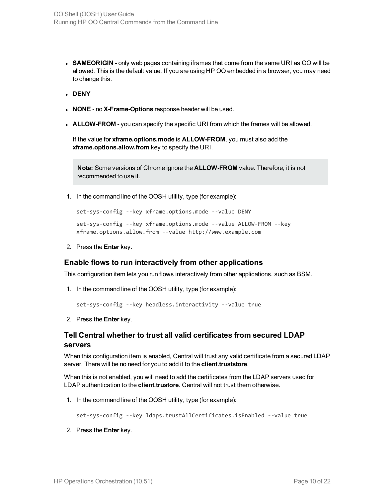- **SAMEORIGIN** only web pages containing iframes that come from the same URI as OO will be allowed. This is the default value. If you are using HP OO embedded in a browser, you may need to change this.
- <sup>l</sup> **DENY**
- **NONE** no **X-Frame-Options** response header will be used.
- **ALLOW-FROM** you can specify the specific URI from which the frames will be allowed.

If the value for **xframe.options.mode** is **ALLOW-FROM**, you must also add the **xframe.options.allow.from** key to specify the URI.

**Note:** Some versions of Chrome ignore the **ALLOW-FROM** value. Therefore, it is not recommended to use it.

1. In the command line of the OOSH utility, type (for example):

```
set-sys-config --key xframe.options.mode --value DENY
set-sys-config --key xframe.options.mode --value ALLOW-FROM --key
xframe.options.allow.from --value http://www.example.com
```
2. Press the **Enter** key.

### **Enable flows to run interactively from other applications**

This configuration item lets you run flows interactively from other applications, such as BSM.

1. In the command line of the OOSH utility, type (for example):

```
set-sys-config --key headless.interactivity --value true
```
2. Press the **Enter** key.

### **Tell Central whether to trust all valid certificates from secured LDAP servers**

When this configuration item is enabled, Central will trust any valid certificate from a secured LDAP server. There will be no need for you to add it to the **client.truststore**.

When this is not enabled, you will need to add the certificates from the LDAP servers used for LDAP authentication to the **client.trustore**. Central will not trust them otherwise.

1. In the command line of the OOSH utility, type (for example):

set-sys-config --key ldaps.trustAllCertificates.isEnabled --value true

2. Press the **Enter** key.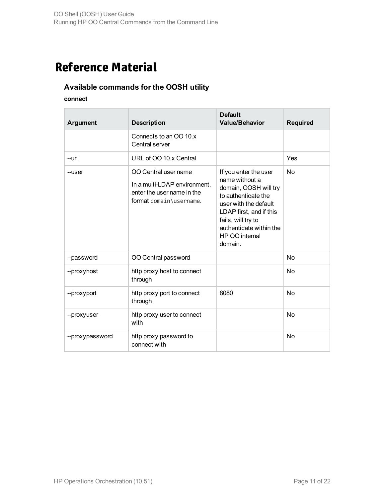# <span id="page-10-0"></span>**Reference Material**

# **Available commands for the OOSH utility**

### **connect**

| <b>Argument</b> | <b>Description</b>                                                                                            | <b>Default</b><br><b>Value/Behavior</b>                                                                                                                                                                                   | <b>Required</b> |
|-----------------|---------------------------------------------------------------------------------------------------------------|---------------------------------------------------------------------------------------------------------------------------------------------------------------------------------------------------------------------------|-----------------|
|                 | Connects to an OO 10.x<br>Central server                                                                      |                                                                                                                                                                                                                           |                 |
| --url           | URL of OO 10.x Central                                                                                        |                                                                                                                                                                                                                           | Yes             |
| --user          | OO Central user name<br>In a multi-LDAP environment,<br>enter the user name in the<br>format domain\username. | If you enter the user<br>name without a<br>domain, OOSH will try<br>to authenticate the<br>user with the default<br>LDAP first, and if this<br>fails, will try to<br>authenticate within the<br>HP OO internal<br>domain. | No              |
| --password      | OO Central password                                                                                           |                                                                                                                                                                                                                           | <b>No</b>       |
| --proxyhost     | http proxy host to connect<br>through                                                                         |                                                                                                                                                                                                                           | No              |
| --proxyport     | http proxy port to connect<br>through                                                                         | 8080                                                                                                                                                                                                                      | <b>No</b>       |
| --proxyuser     | http proxy user to connect<br>with                                                                            |                                                                                                                                                                                                                           | No              |
| --proxypassword | http proxy password to<br>connect with                                                                        |                                                                                                                                                                                                                           | <b>No</b>       |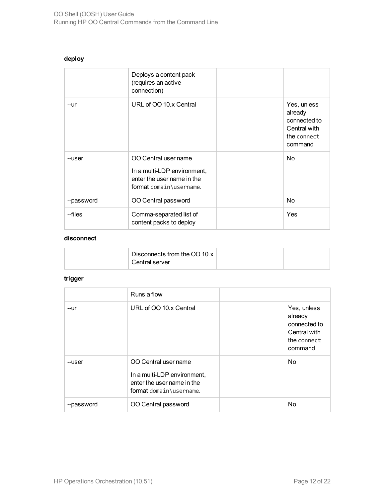### **deploy**

|            | Deploys a content pack<br>(requires an active<br>connection)                                                 |                                                                                  |
|------------|--------------------------------------------------------------------------------------------------------------|----------------------------------------------------------------------------------|
| --url      | URL of OO 10.x Central                                                                                       | Yes, unless<br>already<br>connected to<br>Central with<br>the connect<br>command |
| --user     | OO Central user name<br>In a multi-LDP environment,<br>enter the user name in the<br>format domain\username. | No.                                                                              |
| --password | OO Central password                                                                                          | No.                                                                              |
| --files    | Comma-separated list of<br>content packs to deploy                                                           | Yes                                                                              |

#### **disconnect**

| Disconnects from the OO 10.x<br>Central server |  |
|------------------------------------------------|--|
|                                                |  |

# **trigger**

|            | Runs a flow                                                                                                  |                                                                                  |
|------------|--------------------------------------------------------------------------------------------------------------|----------------------------------------------------------------------------------|
| --url      | URL of OO 10.x Central                                                                                       | Yes, unless<br>already<br>connected to<br>Central with<br>the connect<br>command |
| --user     | OO Central user name<br>In a multi-LDP environment,<br>enter the user name in the<br>format domain\username. | N <sub>o</sub>                                                                   |
| --password | OO Central password                                                                                          | No                                                                               |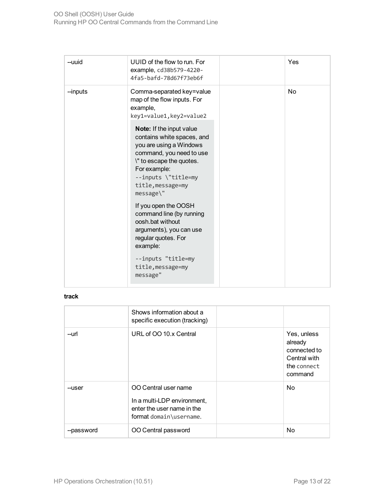| UUID of the flow to run. For<br>--uuid<br>example, cd38b579-4220-<br>4fa5-bafd-78d67f73eb6f                                                                                                                                                                                                                                                                                                                                                                                                                                     |
|---------------------------------------------------------------------------------------------------------------------------------------------------------------------------------------------------------------------------------------------------------------------------------------------------------------------------------------------------------------------------------------------------------------------------------------------------------------------------------------------------------------------------------|
| --inputs<br>Comma-separated key=value<br>map of the flow inputs. For<br>example,<br>key1=value1, key2=value2<br>Note: If the input value<br>contains white spaces, and<br>you are using a Windows<br>command, you need to use<br>\" to escape the quotes.<br>For example:<br>--inputs \"title=my<br>title, message=my<br>message\"<br>If you open the OOSH<br>command line (by running<br>oosh.bat without<br>arguments), you can use<br>regular quotes. For<br>example:<br>--inputs "title=my<br>title, message=my<br>message" |

### **track**

|            | Shows information about a<br>specific execution (tracking)                                                   |                                                                                  |
|------------|--------------------------------------------------------------------------------------------------------------|----------------------------------------------------------------------------------|
| --url      | URL of OO 10.x Central                                                                                       | Yes, unless<br>already<br>connected to<br>Central with<br>the connect<br>command |
| --user     | OO Central user name<br>In a multi-LDP environment,<br>enter the user name in the<br>format domain\username. | No.                                                                              |
| --password | OO Central password                                                                                          | <b>No</b>                                                                        |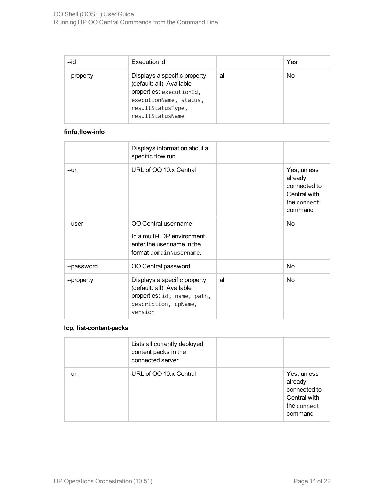| $-i$ d     | Execution id                                                                                                                                             |     | Yes |
|------------|----------------------------------------------------------------------------------------------------------------------------------------------------------|-----|-----|
| --property | Displays a specific property<br>(default: all). Available<br>properties: executionId,<br>executionName, status,<br>resultStatusType,<br>resultStatusName | all | No  |

### **finfo,flow-info**

|            | Displays information about a<br>specific flow run                                                                           |     |                                                                                  |
|------------|-----------------------------------------------------------------------------------------------------------------------------|-----|----------------------------------------------------------------------------------|
| --url      | URL of OO 10.x Central                                                                                                      |     | Yes, unless<br>already<br>connected to<br>Central with<br>the connect<br>command |
| --user     | OO Central user name<br>In a multi-LDP environment,<br>enter the user name in the<br>format domain\username.                |     | N <sub>o</sub>                                                                   |
| --password | OO Central password                                                                                                         |     | N <sub>o</sub>                                                                   |
| --property | Displays a specific property<br>(default: all). Available<br>properties: id, name, path,<br>description, cpName,<br>version | all | N <sub>o</sub>                                                                   |

### **lcp, list-content-packs**

|       | Lists all currently deployed<br>content packs in the<br>connected server |                                                                                  |
|-------|--------------------------------------------------------------------------|----------------------------------------------------------------------------------|
| --url | URL of OO 10.x Central                                                   | Yes, unless<br>already<br>connected to<br>Central with<br>the connect<br>command |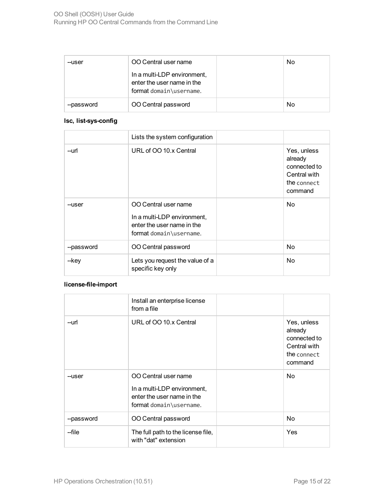| --user     | OO Central user name                                                                 | No |
|------------|--------------------------------------------------------------------------------------|----|
|            | In a multi-LDP environment,<br>enter the user name in the<br>format domain\username. |    |
| --password | OO Central password                                                                  | No |

### **lsc, list-sys-config**

|            | Lists the system configuration                                                                               |                                                                                  |
|------------|--------------------------------------------------------------------------------------------------------------|----------------------------------------------------------------------------------|
| --url      | URL of OO 10.x Central                                                                                       | Yes, unless<br>already<br>connected to<br>Central with<br>the connect<br>command |
| --user     | OO Central user name<br>In a multi-LDP environment,<br>enter the user name in the<br>format domain\username. | N <sub>o</sub>                                                                   |
| --password | OO Central password                                                                                          | N <sub>o</sub>                                                                   |
| --key      | Lets you request the value of a<br>specific key only                                                         | N <sub>o</sub>                                                                   |

### **license-file-import**

|            | Install an enterprise license<br>from a file                                                                 |                                                                                  |
|------------|--------------------------------------------------------------------------------------------------------------|----------------------------------------------------------------------------------|
| --url      | URL of OO 10.x Central                                                                                       | Yes, unless<br>already<br>connected to<br>Central with<br>the connect<br>command |
| --user     | OO Central user name<br>In a multi-LDP environment,<br>enter the user name in the<br>format domain\username. | No.                                                                              |
| --password | OO Central password                                                                                          | N <sub>o</sub>                                                                   |
| --file     | The full path to the license file,<br>with "dat" extension                                                   | Yes                                                                              |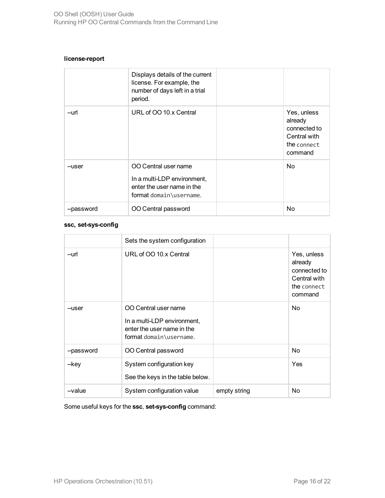#### **license-report**

|            | Displays details of the current<br>license. For example, the<br>number of days left in a trial<br>period.    |                                                                                  |
|------------|--------------------------------------------------------------------------------------------------------------|----------------------------------------------------------------------------------|
| --url      | URL of OO 10.x Central                                                                                       | Yes, unless<br>already<br>connected to<br>Central with<br>the connect<br>command |
| --user     | OO Central user name<br>In a multi-LDP environment,<br>enter the user name in the<br>format domain\username. | No.                                                                              |
| --password | OO Central password                                                                                          | No                                                                               |

#### **ssc, set-sys-config**

|            | Sets the system configuration                                                                                |              |                                                                                  |
|------------|--------------------------------------------------------------------------------------------------------------|--------------|----------------------------------------------------------------------------------|
| --url      | URL of OO 10.x Central                                                                                       |              | Yes, unless<br>already<br>connected to<br>Central with<br>the connect<br>command |
| --user     | OO Central user name<br>In a multi-LDP environment,<br>enter the user name in the<br>format domain\username. |              | N <sub>o</sub>                                                                   |
| --password | OO Central password                                                                                          |              | N <sub>o</sub>                                                                   |
| --key      | System configuration key<br>See the keys in the table below.                                                 |              | Yes                                                                              |
| --value    | System configuration value                                                                                   | empty string | No                                                                               |

Some useful keys for the **ssc**, **set-sys-config** command: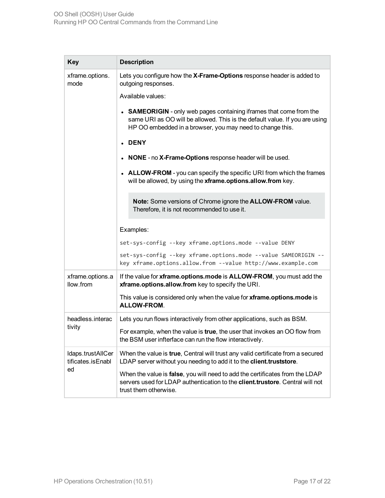| <b>Key</b>                                   | <b>Description</b>                                                                                                                                                                                              |
|----------------------------------------------|-----------------------------------------------------------------------------------------------------------------------------------------------------------------------------------------------------------------|
| xframe.options.<br>mode                      | Lets you configure how the X-Frame-Options response header is added to<br>outgoing responses.                                                                                                                   |
|                                              | Available values:                                                                                                                                                                                               |
|                                              | • SAMEORIGIN - only web pages containing iframes that come from the<br>same URI as OO will be allowed. This is the default value. If you are using<br>HP OO embedded in a browser, you may need to change this. |
|                                              | <b>DENY</b>                                                                                                                                                                                                     |
|                                              | NONE - no X-Frame-Options response header will be used.                                                                                                                                                         |
|                                              | • ALLOW-FROM - you can specify the specific URI from which the frames<br>will be allowed, by using the xframe.options.allow.from key.                                                                           |
|                                              | Note: Some versions of Chrome ignore the ALLOW-FROM value.<br>Therefore, it is not recommended to use it.                                                                                                       |
|                                              | Examples:                                                                                                                                                                                                       |
|                                              | set-sys-config --key xframe.options.mode --value DENY                                                                                                                                                           |
|                                              | set-sys-config --key xframe.options.mode --value SAMEORIGIN --<br>key xframe.options.allow.from --value http://www.example.com                                                                                  |
| xframe.options.a<br>llow.from                | If the value for xframe.options.mode is ALLOW-FROM, you must add the<br>xframe.options.allow.from key to specify the URI.                                                                                       |
|                                              | This value is considered only when the value for xframe.options.mode is<br><b>ALLOW-FROM.</b>                                                                                                                   |
| headless.interac                             | Lets you run flows interactively from other applications, such as BSM.                                                                                                                                          |
| tivity                                       | For example, when the value is true, the user that invokes an OO flow from<br>the BSM user infterface can run the flow interactively.                                                                           |
| Idaps.trustAllCer<br>tificates.isEnabl<br>ed | When the value is true, Central will trust any valid certificate from a secured<br>LDAP server without you needing to add it to the client.truststore.                                                          |
|                                              | When the value is false, you will need to add the certificates from the LDAP<br>servers used for LDAP authentication to the client.trustore. Central will not<br>trust them otherwise.                          |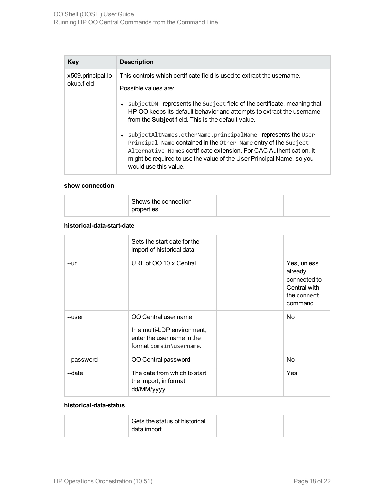| Key                             | <b>Description</b>                                                                                                                                                                                                                                                                                        |
|---------------------------------|-----------------------------------------------------------------------------------------------------------------------------------------------------------------------------------------------------------------------------------------------------------------------------------------------------------|
| x509.principal.lo<br>okup.field | This controls which certificate field is used to extract the username.<br>Possible values are:                                                                                                                                                                                                            |
|                                 | • subjectDN - represents the Subject field of the certificate, meaning that<br>HP OO keeps its default behavior and attempts to extract the username<br>from the <b>Subject</b> field. This is the default value.                                                                                         |
|                                 | • subjectAltNames.otherName.principalName-represents the User<br>Principal Name contained in the Other Name entry of the Subject<br>Alternative Names certificate extension. For CAC Authentication, it<br>might be required to use the value of the User Principal Name, so you<br>would use this value. |

#### **show connection**

### **historical-data-start-date**

|            | Sets the start date for the<br>import of historical data                                                     |                                                                                  |
|------------|--------------------------------------------------------------------------------------------------------------|----------------------------------------------------------------------------------|
| --url      | URL of OO 10.x Central                                                                                       | Yes, unless<br>already<br>connected to<br>Central with<br>the connect<br>command |
| --user     | OO Central user name<br>In a multi-LDP environment,<br>enter the user name in the<br>format domain\username. | <b>No</b>                                                                        |
| --password | OO Central password                                                                                          | N <sub>o</sub>                                                                   |
| -date      | The date from which to start<br>the import, in format<br>dd/MM/yyyy                                          | Yes                                                                              |

### **historical-data-status**

| Gets the status of historical |  |
|-------------------------------|--|
| data import                   |  |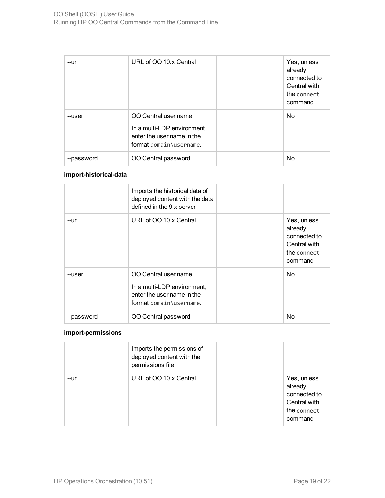| --url      | URL of OO 10.x Central                                                                                       | Yes, unless<br>already<br>connected to<br>Central with<br>the connect<br>command |
|------------|--------------------------------------------------------------------------------------------------------------|----------------------------------------------------------------------------------|
| --user     | OO Central user name<br>In a multi-LDP environment,<br>enter the user name in the<br>format domain\username. | <b>No</b>                                                                        |
| --password | OO Central password                                                                                          | <b>No</b>                                                                        |

### **import-historical-data**

|            | Imports the historical data of<br>deployed content with the data<br>defined in the 9.x server                |                                                                                  |
|------------|--------------------------------------------------------------------------------------------------------------|----------------------------------------------------------------------------------|
| --url      | URL of OO 10.x Central                                                                                       | Yes, unless<br>already<br>connected to<br>Central with<br>the connect<br>command |
| --user     | OO Central user name<br>In a multi-LDP environment,<br>enter the user name in the<br>format domain\username. | No.                                                                              |
| --password | OO Central password                                                                                          | No                                                                               |

### **import-permissions**

|       | Imports the permissions of<br>deployed content with the<br>permissions file |                                                                                  |
|-------|-----------------------------------------------------------------------------|----------------------------------------------------------------------------------|
| --url | URL of OO 10.x Central                                                      | Yes, unless<br>already<br>connected to<br>Central with<br>the connect<br>command |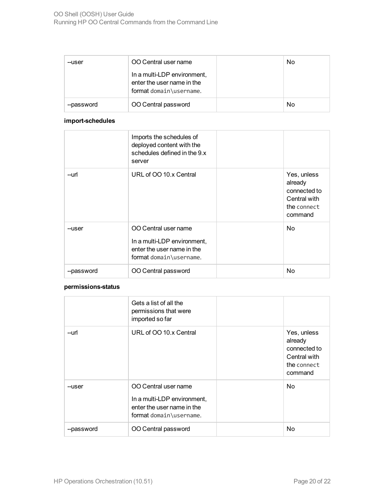| --user     | OO Central user name                                                                 | No |
|------------|--------------------------------------------------------------------------------------|----|
|            | In a multi-LDP environment,<br>enter the user name in the<br>format domain\username. |    |
| --password | OO Central password                                                                  | No |

### **import-schedules**

|            | Imports the schedules of<br>deployed content with the<br>schedules defined in the 9.x<br>server              |                                                                                  |
|------------|--------------------------------------------------------------------------------------------------------------|----------------------------------------------------------------------------------|
| --url      | URL of OO 10.x Central                                                                                       | Yes, unless<br>already<br>connected to<br>Central with<br>the connect<br>command |
| --user     | OO Central user name<br>In a multi-LDP environment,<br>enter the user name in the<br>format domain\username. | No.                                                                              |
| --password | OO Central password                                                                                          | No                                                                               |

#### **permissions-status**

|            | Gets a list of all the<br>permissions that were<br>imported so far                                           |                                                                                  |
|------------|--------------------------------------------------------------------------------------------------------------|----------------------------------------------------------------------------------|
| --url      | URL of OO 10.x Central                                                                                       | Yes, unless<br>already<br>connected to<br>Central with<br>the connect<br>command |
| --user     | OO Central user name<br>In a multi-LDP environment,<br>enter the user name in the<br>format domain\username. | N <sub>o</sub>                                                                   |
| --password | OO Central password                                                                                          | No.                                                                              |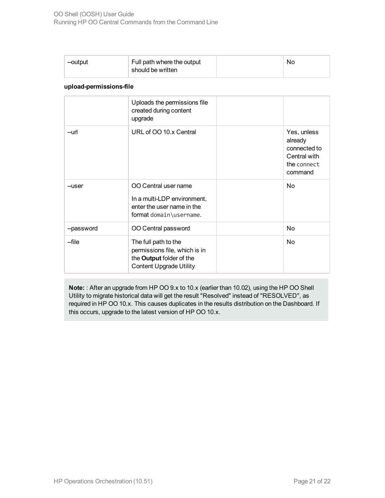| --output | Full path where the output | N0 |
|----------|----------------------------|----|
|          | should be written          |    |

#### **upload-permissions-file**

|            | Uploads the permissions file<br>created during content<br>upgrade                                                   |                                                                                  |
|------------|---------------------------------------------------------------------------------------------------------------------|----------------------------------------------------------------------------------|
| --url      | URL of OO 10.x Central                                                                                              | Yes, unless<br>already<br>connected to<br>Central with<br>the connect<br>command |
| --user     | OO Central user name<br>In a multi-LDP environment,<br>enter the user name in the<br>format domain\username.        | No.                                                                              |
| --password | OO Central password                                                                                                 | No                                                                               |
| -file      | The full path to the<br>permissions file, which is in<br>the Output folder of the<br><b>Content Upgrade Utility</b> | No.                                                                              |

**Note:** : After an upgrade from HP OO 9.x to 10.x (earlier than 10.02), using the HP OO Shell Utility to migrate historical data will get the result "Resolved" instead of "RESOLVED", as required in HP OO 10.x. This causes duplicates in the results distribution on the Dashboard. If this occurs, upgrade to the latest version of HP OO 10.x.